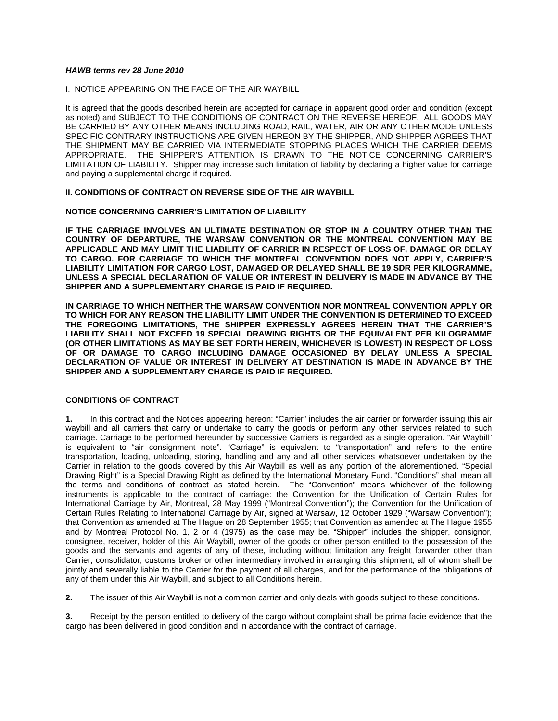# *HAWB terms rev 28 June 2010*

I. NOTICE APPEARING ON THE FACE OF THE AIR WAYBILL

It is agreed that the goods described herein are accepted for carriage in apparent good order and condition (except as noted) and SUBJECT TO THE CONDITIONS OF CONTRACT ON THE REVERSE HEREOF. ALL GOODS MAY BE CARRIED BY ANY OTHER MEANS INCLUDING ROAD, RAIL, WATER, AIR OR ANY OTHER MODE UNLESS SPECIFIC CONTRARY INSTRUCTIONS ARE GIVEN HEREON BY THE SHIPPER, AND SHIPPER AGREES THAT THE SHIPMENT MAY BE CARRIED VIA INTERMEDIATE STOPPING PLACES WHICH THE CARRIER DEEMS APPROPRIATE. THE SHIPPER'S ATTENTION IS DRAWN TO THE NOTICE CONCERNING CARRIER'S LIMITATION OF LIABILITY. Shipper may increase such limitation of liability by declaring a higher value for carriage and paying a supplemental charge if required.

# **II. CONDITIONS OF CONTRACT ON REVERSE SIDE OF THE AIR WAYBILL**

# **NOTICE CONCERNING CARRIER'S LIMITATION OF LIABILITY**

**IF THE CARRIAGE INVOLVES AN ULTIMATE DESTINATION OR STOP IN A COUNTRY OTHER THAN THE COUNTRY OF DEPARTURE, THE WARSAW CONVENTION OR THE MONTREAL CONVENTION MAY BE APPLICABLE AND MAY LIMIT THE LIABILITY OF CARRIER IN RESPECT OF LOSS OF, DAMAGE OR DELAY TO CARGO. FOR CARRIAGE TO WHICH THE MONTREAL CONVENTION DOES NOT APPLY, CARRIER'S LIABILITY LIMITATION FOR CARGO LOST, DAMAGED OR DELAYED SHALL BE 19 SDR PER KILOGRAMME, UNLESS A SPECIAL DECLARATION OF VALUE OR INTEREST IN DELIVERY IS MADE IN ADVANCE BY THE SHIPPER AND A SUPPLEMENTARY CHARGE IS PAID IF REQUIRED.** 

**IN CARRIAGE TO WHICH NEITHER THE WARSAW CONVENTION NOR MONTREAL CONVENTION APPLY OR TO WHICH FOR ANY REASON THE LIABILITY LIMIT UNDER THE CONVENTION IS DETERMINED TO EXCEED THE FOREGOING LIMITATIONS, THE SHIPPER EXPRESSLY AGREES HEREIN THAT THE CARRIER'S LIABILITY SHALL NOT EXCEED 19 SPECIAL DRAWING RIGHTS OR THE EQUIVALENT PER KILOGRAMME (OR OTHER LIMITATIONS AS MAY BE SET FORTH HEREIN, WHICHEVER IS LOWEST) IN RESPECT OF LOSS OF OR DAMAGE TO CARGO INCLUDING DAMAGE OCCASIONED BY DELAY UNLESS A SPECIAL DECLARATION OF VALUE OR INTEREST IN DELIVERY AT DESTINATION IS MADE IN ADVANCE BY THE SHIPPER AND A SUPPLEMENTARY CHARGE IS PAID IF REQUIRED.** 

# **CONDITIONS OF CONTRACT**

**1.** In this contract and the Notices appearing hereon: "Carrier" includes the air carrier or forwarder issuing this air waybill and all carriers that carry or undertake to carry the goods or perform any other services related to such carriage. Carriage to be performed hereunder by successive Carriers is regarded as a single operation. "Air Waybill" is equivalent to "air consignment note". "Carriage" is equivalent to "transportation" and refers to the entire transportation, loading, unloading, storing, handling and any and all other services whatsoever undertaken by the Carrier in relation to the goods covered by this Air Waybill as well as any portion of the aforementioned. "Special Drawing Right" is a Special Drawing Right as defined by the International Monetary Fund. "Conditions" shall mean all the terms and conditions of contract as stated herein. The "Convention" means whichever of the following instruments is applicable to the contract of carriage: the Convention for the Unification of Certain Rules for International Carriage by Air, Montreal, 28 May 1999 ("Montreal Convention"); the Convention for the Unification of Certain Rules Relating to International Carriage by Air, signed at Warsaw, 12 October 1929 ("Warsaw Convention"); that Convention as amended at The Hague on 28 September 1955; that Convention as amended at The Hague 1955 and by Montreal Protocol No. 1, 2 or 4 (1975) as the case may be. "Shipper" includes the shipper, consignor, consignee, receiver, holder of this Air Waybill, owner of the goods or other person entitled to the possession of the goods and the servants and agents of any of these, including without limitation any freight forwarder other than Carrier, consolidator, customs broker or other intermediary involved in arranging this shipment, all of whom shall be jointly and severally liable to the Carrier for the payment of all charges, and for the performance of the obligations of any of them under this Air Waybill, and subject to all Conditions herein.

**2.** The issuer of this Air Waybill is not a common carrier and only deals with goods subject to these conditions.

**3.** Receipt by the person entitled to delivery of the cargo without complaint shall be prima facie evidence that the cargo has been delivered in good condition and in accordance with the contract of carriage.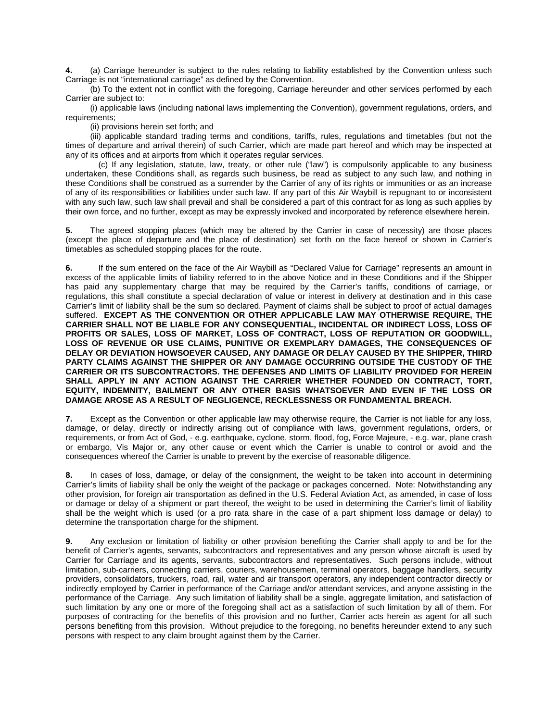**4.** (a) Carriage hereunder is subject to the rules relating to liability established by the Convention unless such Carriage is not "international carriage" as defined by the Convention.

 (b) To the extent not in conflict with the foregoing, Carriage hereunder and other services performed by each Carrier are subject to:

 (i) applicable laws (including national laws implementing the Convention), government regulations, orders, and requirements;

(ii) provisions herein set forth; and

 (iii) applicable standard trading terms and conditions, tariffs, rules, regulations and timetables (but not the times of departure and arrival therein) of such Carrier, which are made part hereof and which may be inspected at any of its offices and at airports from which it operates regular services.

 (c) If any legislation, statute, law, treaty, or other rule ("law") is compulsorily applicable to any business undertaken, these Conditions shall, as regards such business, be read as subject to any such law, and nothing in these Conditions shall be construed as a surrender by the Carrier of any of its rights or immunities or as an increase of any of its responsibilities or liabilities under such law. If any part of this Air Waybill is repugnant to or inconsistent with any such law, such law shall prevail and shall be considered a part of this contract for as long as such applies by their own force, and no further, except as may be expressly invoked and incorporated by reference elsewhere herein.

**5.** The agreed stopping places (which may be altered by the Carrier in case of necessity) are those places (except the place of departure and the place of destination) set forth on the face hereof or shown in Carrier's timetables as scheduled stopping places for the route.

**6.** If the sum entered on the face of the Air Waybill as "Declared Value for Carriage" represents an amount in excess of the applicable limits of liability referred to in the above Notice and in these Conditions and if the Shipper has paid any supplementary charge that may be required by the Carrier's tariffs, conditions of carriage, or regulations, this shall constitute a special declaration of value or interest in delivery at destination and in this case Carrier's limit of liability shall be the sum so declared. Payment of claims shall be subject to proof of actual damages suffered. **EXCEPT AS THE CONVENTION OR OTHER APPLICABLE LAW MAY OTHERWISE REQUIRE, THE CARRIER SHALL NOT BE LIABLE FOR ANY CONSEQUENTIAL, INCIDENTAL OR INDIRECT LOSS, LOSS OF PROFITS OR SALES, LOSS OF MARKET, LOSS OF CONTRACT, LOSS OF REPUTATION OR GOODWILL, LOSS OF REVENUE OR USE CLAIMS, PUNITIVE OR EXEMPLARY DAMAGES, THE CONSEQUENCES OF DELAY OR DEVIATION HOWSOEVER CAUSED, ANY DAMAGE OR DELAY CAUSED BY THE SHIPPER, THIRD PARTY CLAIMS AGAINST THE SHIPPER OR ANY DAMAGE OCCURRING OUTSIDE THE CUSTODY OF THE CARRIER OR ITS SUBCONTRACTORS. THE DEFENSES AND LIMITS OF LIABILITY PROVIDED FOR HEREIN SHALL APPLY IN ANY ACTION AGAINST THE CARRIER WHETHER FOUNDED ON CONTRACT, TORT, EQUITY, INDEMNITY, BAILMENT OR ANY OTHER BASIS WHATSOEVER AND EVEN IF THE LOSS OR DAMAGE AROSE AS A RESULT OF NEGLIGENCE, RECKLESSNESS OR FUNDAMENTAL BREACH.** 

**7.** Except as the Convention or other applicable law may otherwise require, the Carrier is not liable for any loss, damage, or delay, directly or indirectly arising out of compliance with laws, government regulations, orders, or requirements, or from Act of God, - e.g. earthquake, cyclone, storm, flood, fog, Force Majeure, - e.g. war, plane crash or embargo, Vis Major or, any other cause or event which the Carrier is unable to control or avoid and the consequences whereof the Carrier is unable to prevent by the exercise of reasonable diligence.

**8.** In cases of loss, damage, or delay of the consignment, the weight to be taken into account in determining Carrier's limits of liability shall be only the weight of the package or packages concerned. Note: Notwithstanding any other provision, for foreign air transportation as defined in the U.S. Federal Aviation Act, as amended, in case of loss or damage or delay of a shipment or part thereof, the weight to be used in determining the Carrier's limit of liability shall be the weight which is used (or a pro rata share in the case of a part shipment loss damage or delay) to determine the transportation charge for the shipment.

**9.** Any exclusion or limitation of liability or other provision benefiting the Carrier shall apply to and be for the benefit of Carrier's agents, servants, subcontractors and representatives and any person whose aircraft is used by Carrier for Carriage and its agents, servants, subcontractors and representatives. Such persons include, without limitation, sub-carriers, connecting carriers, couriers, warehousemen, terminal operators, baggage handlers, security providers, consolidators, truckers, road, rail, water and air transport operators, any independent contractor directly or indirectly employed by Carrier in performance of the Carriage and/or attendant services, and anyone assisting in the performance of the Carriage. Any such limitation of liability shall be a single, aggregate limitation, and satisfaction of such limitation by any one or more of the foregoing shall act as a satisfaction of such limitation by all of them. For purposes of contracting for the benefits of this provision and no further, Carrier acts herein as agent for all such persons benefiting from this provision. Without prejudice to the foregoing, no benefits hereunder extend to any such persons with respect to any claim brought against them by the Carrier.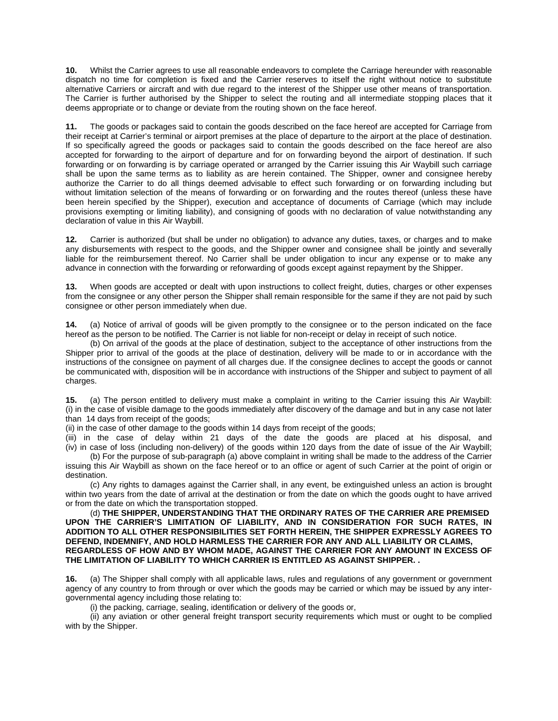**10.** Whilst the Carrier agrees to use all reasonable endeavors to complete the Carriage hereunder with reasonable dispatch no time for completion is fixed and the Carrier reserves to itself the right without notice to substitute alternative Carriers or aircraft and with due regard to the interest of the Shipper use other means of transportation. The Carrier is further authorised by the Shipper to select the routing and all intermediate stopping places that it deems appropriate or to change or deviate from the routing shown on the face hereof.

**11.** The goods or packages said to contain the goods described on the face hereof are accepted for Carriage from their receipt at Carrier's terminal or airport premises at the place of departure to the airport at the place of destination. If so specifically agreed the goods or packages said to contain the goods described on the face hereof are also accepted for forwarding to the airport of departure and for on forwarding beyond the airport of destination. If such forwarding or on forwarding is by carriage operated or arranged by the Carrier issuing this Air Waybill such carriage shall be upon the same terms as to liability as are herein contained. The Shipper, owner and consignee hereby authorize the Carrier to do all things deemed advisable to effect such forwarding or on forwarding including but without limitation selection of the means of forwarding or on forwarding and the routes thereof (unless these have been herein specified by the Shipper), execution and acceptance of documents of Carriage (which may include provisions exempting or limiting liability), and consigning of goods with no declaration of value notwithstanding any declaration of value in this Air Waybill.

**12.** Carrier is authorized (but shall be under no obligation) to advance any duties, taxes, or charges and to make any disbursements with respect to the goods, and the Shipper owner and consignee shall be jointly and severally liable for the reimbursement thereof. No Carrier shall be under obligation to incur any expense or to make any advance in connection with the forwarding or reforwarding of goods except against repayment by the Shipper.

**13.** When goods are accepted or dealt with upon instructions to collect freight, duties, charges or other expenses from the consignee or any other person the Shipper shall remain responsible for the same if they are not paid by such consignee or other person immediately when due.

**14.** (a) Notice of arrival of goods will be given promptly to the consignee or to the person indicated on the face hereof as the person to be notified. The Carrier is not liable for non-receipt or delay in receipt of such notice.

 (b) On arrival of the goods at the place of destination, subject to the acceptance of other instructions from the Shipper prior to arrival of the goods at the place of destination, delivery will be made to or in accordance with the instructions of the consignee on payment of all charges due. If the consignee declines to accept the goods or cannot be communicated with, disposition will be in accordance with instructions of the Shipper and subject to payment of all charges.

**15.** (a) The person entitled to delivery must make a complaint in writing to the Carrier issuing this Air Waybill: (i) in the case of visible damage to the goods immediately after discovery of the damage and but in any case not later than 14 days from receipt of the goods;

(ii) in the case of other damage to the goods within 14 days from receipt of the goods;

(iii) in the case of delay within 21 days of the date the goods are placed at his disposal, and (iv) in case of loss (including non-delivery) of the goods within 120 days from the date of issue of the Air Waybill; (b) For the purpose of sub-paragraph (a) above complaint in writing shall be made to the address of the Carrier issuing this Air Waybill as shown on the face hereof or to an office or agent of such Carrier at the point of origin or

destination. (c) Any rights to damages against the Carrier shall, in any event, be extinguished unless an action is brought

within two years from the date of arrival at the destination or from the date on which the goods ought to have arrived or from the date on which the transportation stopped. (d) **THE SHIPPER, UNDERSTANDING THAT THE ORDINARY RATES OF THE CARRIER ARE PREMISED** 

**UPON THE CARRIER'S LIMITATION OF LIABILITY, AND IN CONSIDERATION FOR SUCH RATES, IN ADDITION TO ALL OTHER RESPONSIBILITIES SET FORTH HEREIN, THE SHIPPER EXPRESSLY AGREES TO DEFEND, INDEMNIFY, AND HOLD HARMLESS THE CARRIER FOR ANY AND ALL LIABILITY OR CLAIMS, REGARDLESS OF HOW AND BY WHOM MADE, AGAINST THE CARRIER FOR ANY AMOUNT IN EXCESS OF THE LIMITATION OF LIABILITY TO WHICH CARRIER IS ENTITLED AS AGAINST SHIPPER. .** 

**16.** (a) The Shipper shall comply with all applicable laws, rules and regulations of any government or government agency of any country to from through or over which the goods may be carried or which may be issued by any intergovernmental agency including those relating to:

(i) the packing, carriage, sealing, identification or delivery of the goods or,

 (ii) any aviation or other general freight transport security requirements which must or ought to be complied with by the Shipper.